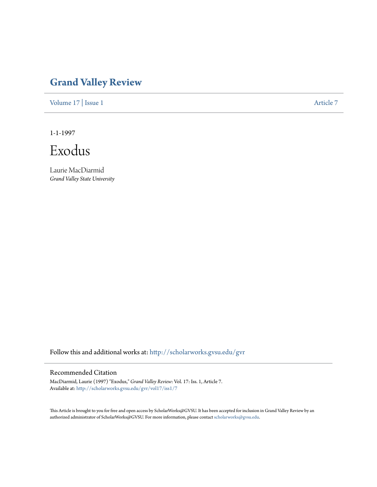# **[Grand Valley Review](http://scholarworks.gvsu.edu/gvr?utm_source=scholarworks.gvsu.edu%2Fgvr%2Fvol17%2Fiss1%2F7&utm_medium=PDF&utm_campaign=PDFCoverPages)**

[Volume 17](http://scholarworks.gvsu.edu/gvr/vol17?utm_source=scholarworks.gvsu.edu%2Fgvr%2Fvol17%2Fiss1%2F7&utm_medium=PDF&utm_campaign=PDFCoverPages) | [Issue 1](http://scholarworks.gvsu.edu/gvr/vol17/iss1?utm_source=scholarworks.gvsu.edu%2Fgvr%2Fvol17%2Fiss1%2F7&utm_medium=PDF&utm_campaign=PDFCoverPages) [Article 7](http://scholarworks.gvsu.edu/gvr/vol17/iss1/7?utm_source=scholarworks.gvsu.edu%2Fgvr%2Fvol17%2Fiss1%2F7&utm_medium=PDF&utm_campaign=PDFCoverPages)

1-1-1997

Exodus

Laurie MacDiarmid *Grand Valley State University*

Follow this and additional works at: [http://scholarworks.gvsu.edu/gvr](http://scholarworks.gvsu.edu/gvr?utm_source=scholarworks.gvsu.edu%2Fgvr%2Fvol17%2Fiss1%2F7&utm_medium=PDF&utm_campaign=PDFCoverPages)

## Recommended Citation

MacDiarmid, Laurie (1997) "Exodus," *Grand Valley Review*: Vol. 17: Iss. 1, Article 7. Available at: [http://scholarworks.gvsu.edu/gvr/vol17/iss1/7](http://scholarworks.gvsu.edu/gvr/vol17/iss1/7?utm_source=scholarworks.gvsu.edu%2Fgvr%2Fvol17%2Fiss1%2F7&utm_medium=PDF&utm_campaign=PDFCoverPages)

This Article is brought to you for free and open access by ScholarWorks@GVSU. It has been accepted for inclusion in Grand Valley Review by an authorized administrator of ScholarWorks@GVSU. For more information, please contact [scholarworks@gvsu.edu.](mailto:scholarworks@gvsu.edu)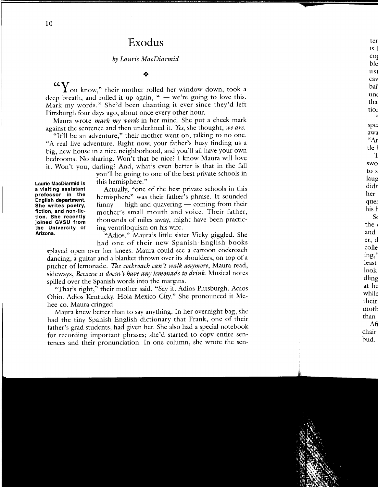# **Exodus**

### *by Laurie MacDiarmid*

#### $+$

**"Y** ou know," their mother rolled her window down, took a deep breath, and rolled it up again, " $-$  we're going to love this. Mark my words." She'd been chanting it ever since they'd left Pittsburgh four days ago, about once every other hour.

Maura wrote *mark my words* in her mind. She put a check mark against the sentence and then underlined it. *Yes,* she thought, *we are.* 

"It'll be an adventure," their mother went on, talking to no one. "A real live adventure. Right now, your father's busy finding us a big, new house in a nice neighborhood, and you'll all have your own bedrooms. No sharing. Won't that be nice? I know Maura will love it. Won't you, darling? And, what's even better is that in the fall

**Laurie MacDiarmid is a visiting assistant professor in the English department. She writes poetry, fiction, and non-fiction. She recently joined GVSU from the University of Arizona.** 

you'll be going to one of the best private schools in this hemisphere."

Actually, "one of the best private schools in this hemisphere" was their father's phrase. It sounded  $f_{\text{unnv}} =$  high and quavering  $-$  coming from their mother's small mouth and voice. Their father, thousands of miles away, might have been practicing ventriloquism on his wife.

"Adios." Maura's little sister Vicky giggled. She had one of their new Spanish- English books

splayed open over her knees. Maura could see a cartoon cockroach dancing, a guitar and a blanket thrown over its shoulders, on top of a pitcher of lemonade. *The cockroach can)t walk anymore,* Maura read, sideways, *Because it doesn)t have any lemonade to drink.* Musical notes spilled over the Spanish words into the margins.

"That's right," their mother said. "Say it. Adios Pittsburgh. Adios Ohio. Adios Kentucky. Hola Mexico City." She pronounced it Mehee-co. Maura cringed.

Maura knew better than to say anything. In her overnight bag, she had the tiny Spanish-English dictionary that Frank, one of their father's grad students, had given her. She also had a special notebook for recording important phrases; she'd started to copy entire sentences and their pronunciation. In one column, she wrote the sen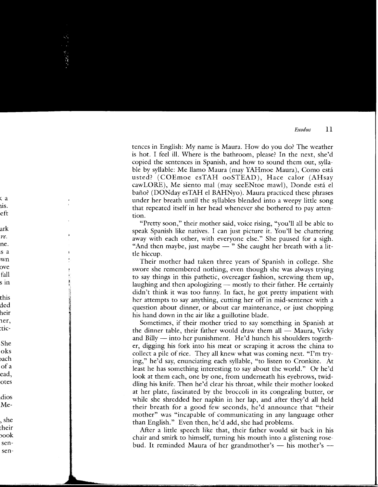tences in English: My name is Maura. How do you do? The weather is hot. I feel ill. Where is the bathroom, please? In the next, she'd copied the sentences in Spanish, and how to sound them out, syllable by syllable: Me llamo Maura (may YAHmoe Maura), Como esta usted? (COEmoe esTAH ooSTEAD), Hace calor (AHsay cawLORE), Me siento mal (may seeENtoe mawl), Donde esta el baño? (DONday esTAH el BAHNyo). Maura practiced these phrases under her breath until the syllables blended into a weepy little song that repeated itself in her head whenever she bothered to pay attention.

"Pretty soon," their mother said, voice rising, "you'll all be able to speak Spanish like natives. I can just picture it. You'll be chattering away with each other, with everyone else." She paused for a sigh. "And then maybe, just maybe  $-$  " She caught her breath with a little hiccup.

Their mother had taken three years of Spanish in college. She swore she remembered nothing, even though she was always trying to say things in this pathetic, overeager fashion, screwing them up, laughing and then apologizing  $-$  mostly to their father. He certainly didn't think it was too funny. In fact, he got pretty impatient with her attempts to say anything, cutting her off in mid-sentence with a question about dinner, or about car maintenance, or just chopping his hand down in the air like a guillotine blade.

Sometimes, if their mother tried to say something in Spanish at the dinner table, their father would draw them all  $-$  Maura, Vicky and Billy  $-$  into her punishment. He'd hunch his shoulders together, digging his fork into his meat or scraping it across the china to collect a pile of rice. They all knew what was coming next. "I'm trying," he'd say, enunciating each syllable, "to listen to Cronkite. At least he has something interesting to say about the world." Or he'd look at them each, one by one, from underneath his eyebrows, twiddling his knife. Then he'd clear his throat, while their mother looked at her plate, fascinated by the broccoli in its congealing butter, or while she shredded her napkin in her lap, and after they'd all held their breath for a good few seconds, he'd announce that "their mother" was "incapable of communicating in any language other than English." Even then, he'd add, she had problems.

Mter a little speech like that, their father would sit back in his chair and smirk to himself, turning his mouth into a glistening rosebud. It reminded Maura of her grandmother's - his mother's -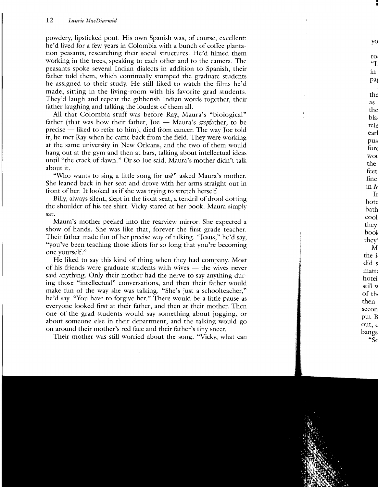powdery, lipsticked pout. His own Spanish was, of course, excellent: he'd lived for a few years in Colombia with a bunch of coffee plantation peasants, researching their social structures. He'd filmed them working in the trees, speaking to each other and to the camera. The peasants spoke several Indian dialects in addition to Spanish, their father told them, which continually stumped the graduate students he assigned to their study. He still liked to watch the films he'd made, sitting in the living-room with his favorite grad students. They'd laugh and repeat the gibberish Indian words together, their father laughing and talking the loudest of them all.

All that Colombia stuff was before Ray, Maura's "biological" father (that was how their father, Joe  $-$  Maura's stepfather, to be precise - liked to refer to him), died from cancer. The way Joe told it, he met Ray when he came back from the field. They were working at the same university in New Orleans, and the two of them would hang out at the gym and then at bars, talking about intellectual ideas until "the crack of dawn." Or so Joe said. Maura's mother didn't talk about it.

"Who wants to sing a little song for us?" asked Maura's mother. She leaned back in her seat and drove with her arms straight out in front of her. It looked as if she was trying to stretch herself.

Billy, always silent, slept in the front seat, a tendril of drool dotting the shoulder of his tee shirt. Vicky stared at her book. Maura simply sat.

Maura's mother peeked into the rearview mirror. She expected a show of hands. She was like that, forever the first grade teacher. Their father made fun of her precise way of talking. "Jesus," he'd say, "you've been teaching those idiots for so long that you're becoming one yourself."

He liked to say this kind of thing when they had company. Most of his friends were graduate students with wives - the wives never said anything. Only their mother had the nerve to say anything during those "intellectual" conversations, and then their father would make fun of the way she was talking. "She's just a schoolteacher," he'd say. "You have to forgive her." There would be a little pause as everyone looked first at their father, and then at their mother. Then one of the grad students would say something about jogging, or about someone else in their department, and the talking would go on around their mother's red face and their father's tiny sneer.

Their mother was still worried about the song. "Vicky, what can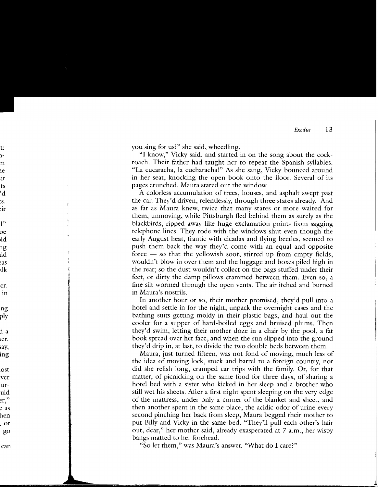you sing for us?" she said, wheedling.

"I know," Vicky said, and started in on the song about the cockroach. Their father had taught her to repeat the Spanish syllables. "La cucaracha, la cucharacha!" As she sang, Vicky bounced around in her seat, knocking the open book onto the floor. Several of its pages crunched. Maura stared out the window.

A colorless accumulation of trees, houses, and asphalt swept past the car. They'd driven, relendessly, through three states already. And as far as Maura knew, twice that many states or more waited for them, unmoving, while Pittsburgh fled behind them as surely as the blackbirds, ripped away like huge exclamation points from sagging telephone lines. They rode with the windows shut even though the early August heat, frantic with cicadas and flying beetles, seemed to push them back the way they'd come with an equal and opposite force  $-$  so that the yellowish soot, stirred up from empty fields, wouldn't blow in over them and the luggage and boxes piled high in the rear; so the dust wouldn't collect on the bags stuffed under their feet, or dirty the damp pillows crammed between them. Even so, a fine silt wormed through the open vents. The air itched and burned in Maura's nostrils.

In another hour or so, their mother promised, they'd pull into a hotel and settle in for the night, unpack the overnight cases and the bathing suits getting moldy in their plastic bags, and haul out the cooler for a supper of hard-boiled eggs and bruised plums. Then they'd swim, letting their mother doze in a chair by the pool, a fat book spread over her face, and when the sun slipped into the ground they'd drip in, at last, to divide the two double beds between them.

Maura, just turned fifteen, was not fond of moving, much less of the idea of moving lock, stock and barrel to a foreign country, nor did she relish long, cramped car trips with the family. Or, for that matter, of picnicking on the same food for three days, of sharing a hotel bed with a sister who kicked in her sleep and a brother who still wet his sheets. After a first night spent sleeping on the very edge of the mattress, under only a corner of the blanket and sheet, and then another spent in the same place, the acidic odor of urine every second pinching her back from sleep, Maura begged their mother to put Billy and Vicky in the same bed. "They'll pull each other's hair out, dear," her mother said, already exasperated at 7 a.m., her wispy bangs matted to her forehead.

"So let them," was Maura's answer. "What do I care?"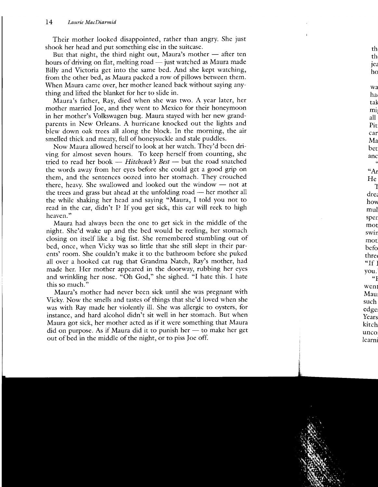Their mother looked disappointed, rather than angry. She just shook her head and put something else in the suitcase.

But that night, the third night out, Maura's mother  $-$  after ten hours of driving on flat, melting road  $-$  just watched as Maura made Billy and Victoria get into the same bed. And she kept watching, from the other bed, as Maura packed a row of pillows between them. When Maura came over, her mother leaned back without saying anything and lifted the blanket for her to slide in.

Maura's father, Ray, died when she was two. A year later, her mother married Joe, and they went to Mexico for their honeymoon in her mother's Volkswagen bug. Maura stayed with her new grandparents in New Orleans. A hurricane knocked out the lights and blew down oak trees all along the block. In the morning, the air smelled thick and meaty, full of honeysuckle and stale puddles.

Now Maura allowed herself to look at her watch. They'd been driving for almost seven hours. To keep herself from counting, she tried to read her book - *Hitchcock's Best* - but the road snatched the words away from her eyes before she could get a good grip on them, and the sentences oozed into her stomach. They crouched there, heavy. She swallowed and looked out the window  $-$  not at the trees and grass but ahead at the unfolding road  $-$  her mother all the while shaking her head and saying "Maura, I told you not to read in the car, didn't I? If you get sick, this car will reek to high heaven."

Maura had always been the one to get sick in the middle of the night. She'd wake up and the bed would be reeling, her stomach closing on itself like a big fist. She remembered stumbling out of bed, once, when Vicky was so little that she still slept in their parents' room. She couldn't make it to the bathroom before she puked all over a hooked cat rug that Grandma Natch, Ray's mother, had made her. Her mother appeared in the doorway, rubbing her eyes and wrinkling her nose. "Oh God," she sighed. "I hate this. I hate this so much."

Mama's mother had never been sick until she was pregnant with Vicky. Now the smells and tastes of things that she'd loved when she was with Ray made her violently ill. She was allergic to oysters, for instance, and hard alcohol didn't sit well in her stomach. But when Maura got sick, her mother acted as if it were something that Maura did on purpose. As if Maura did it to punish her  $-$  to make her get out of bed in the middle of the night, or to piss Joe off.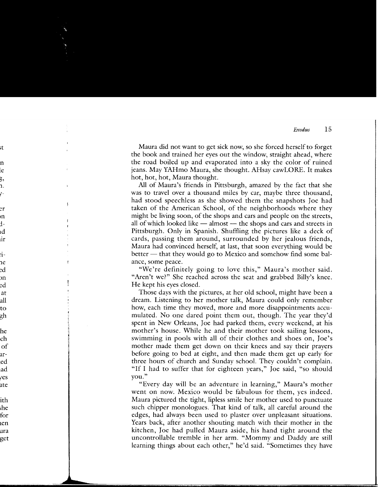Maura did not want to get sick now, so she forced herself to forget the book and trained her eyes out the window, straight ahead, where the road boiled up and evaporated into a sky the color of ruined jeans. May YAHmo Maura, she thought. AHsay caw LORE. It makes hot, hot, hot, Maura thought.

All of Maura's friends in Pittsburgh, amazed by the fact that she was to travel over a thousand miles by car, maybe three thousand, had stood speechless as she showed them the snapshots Joe had taken of the American School, of the neighborhoods where they might be living soon, of the shops and cars and people on the streets, all of which looked like  $-$  almost  $-$  the shops and cars and streets in Pittsburgh. Only in Spanish. Shuffling the pictures like a deck of cards, passing them around, surrounded by her jealous friends, Maura had convinced herself, at last, that soon everything would be better  $-$  that they would go to Mexico and somehow find some balance, some peace.

"We're definitely going to love this," Maura's mother said. "Aren't we?" She reached across the seat and grabbed Billy's knee. He kept his eyes closed.

Those days with the pictures, at her old school, might have been a dream. Listening to her mother talk, Maura could only remember how, each time they moved, more and more disappointments accumulated. No one dared point them out, though. The year they'd spent in New Orleans, Joe had parked them, every weekend, at his mother's house. While he and their mother took sailing lessons, swimming in pools with all of their clothes and shoes on, Joe's mother made them get down on their knees and say their prayers before going to bed at eight, and then made them get up early for three hours of church and Sunday school. They couldn't complain. "If I had to suffer that for eighteen years," Joe said, "so should you."

"Every day will be an adventure in learning," Maura's mother went on now. Mexico would be fabulous for them, yes indeed. Maura pictured the tight, lipless smile her mother used to punctuate such chipper monologues. That kind of talk, all careful around the edges, had always been used to plaster over unpleasant situations. Years back, after another shouting match with their mother in the kitchen, Joe had pulled Maura aside, his hand tight around the uncontrollable tremble in her arm. "Mommy and Daddy are still learning things about each other," he'd said. "Sometimes they have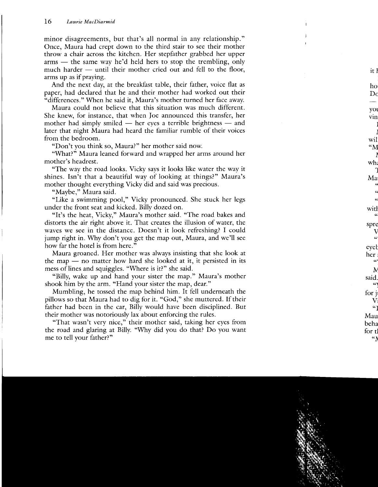minor disagreements, but that's all normal in any relationship." Once, Maura had crept down to the third stair to see their mother throw a chair across the kitchen. Her stepfather grabbed her upper  $arms$  - the same way he'd held hers to stop the trembling, only much harder  $-$  until their mother cried out and fell to the floor, arms up as if praying.

And the next day, at the breakfast table, their father, voice flat as paper, had declared that he and their mother had worked out their "differences." When he said it, Maura's mother turned her face away.

Maura could not believe that this situation was much different. She knew, for instance, that when Joe announced this transfer, her mother had simply smiled  $-$  her eyes a terrible brightness  $-$  and later that night Maura had heard the familiar rumble of their voices from the bedroom.

"Don't you think so, Maura?" her mother said now.

"What?" Maura leaned forward and wrapped her arms around her mother's headrest.

"The way the road looks. Vicky says it looks like water the way it shines. Isn't that a beautiful way of looking at things?" Maura's mother thought everything Vicky did and said was precious.

"Maybe," Maura said.

"Like a swimming pool," Vicky pronounced. She stuck her legs under the front seat and kicked. Billy dozed on.

"It's the heat, Vicky," Maura's mother said. "The road bakes and distorts the air right above it. That creates the illusion of water, the waves we see in the distance. Doesn't it look refreshing? I could jump right in. Why don't you get the map out, Maura, and we'll see how far the hotel is from here."

Maura groaned. Her mother was always insisting that she look at the map  $-$  no matter how hard she looked at it, it persisted in its mess of lines and squiggles. "Where is it?" she said.

"Billy, wake up and hand your sister the map." Maura's mother shook him by the arm. "Hand your sister the map, dear."

Mumbling, he tossed the map behind him. It fell underneath the pillows so that Maura had to dig for it. "God," she muttered. If their father had been in the car, Billy would have been disciplined. But their mother was notoriously lax about enforcing the rules.

"That wasn't very nice," their mother said, taking her eyes from the road and glaring at Billy. "Why did you do that? Do you want me to tell your father?"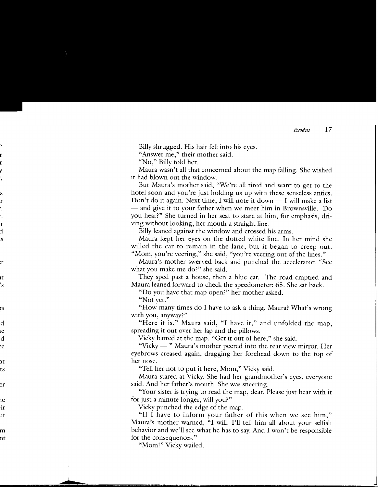Billy shrugged. His hair fell into his eyes.

"Answer me," their mother said.

"No," Billy told her.

Maura wasn't all that concerned about the map falling. She wished it had blown out the window.

But Maura's mother said, "We're all tired and want to get to the hotel soon and you're just holding us up with these senseless antics. Don't do it again. Next time, I will note it down  $- I$  will make a list  $-$  and give it to your father when we meet him in Brownsville. Do you hear?" She turned in her seat to stare at him, for emphasis, driving without looking, her mouth a straight line.

Billy leaned against the window and crossed his arms.

Maura kept her eyes on the dotted white line. In her mind she willed the car to remain in the lane, but it began to creep out. "Mom, you're veering," she said, "you're veering out of the lines."

Maura's mother swerved back and punched the accelerator. "See what you make me do?" she said.

They sped past a house, then a blue car. The road emptied and Maura leaned forward to check the speedometer: 65. She sat back.

"Do you have that map open?" her mother asked.

"Not yet."

"How many times do I have to ask a thing, Maura? What's wrong with you, anyway?"

"Here it is," Maura said, "I have it," and unfolded the map, spreading it out over her lap and the pillows.

Vicky batted at the map. "Get it out of here," she said.

"Vicky — " Maura's mother peered into the rear view mirror. Her eyebrows creased again, dragging her forehead down to the top of her nose.

"Tell her not to put it here, Mom," Vicky said.

Maura stared at Vicky. She had her grandmother's eyes, everyone said. And her father's mouth. She was sneering.

"Your sister is trying to read the map, dear. Please just bear with it for just a minute longer, will you?"

Vicky punched the edge of the map.

"If I have to inform your father of this when we see him," Maura's mother warned, "I will. I'll tell him all about your selfish behavior and we'll see what he has to say. And I won't be responsible for the consequences."

"Mom!" Vicky wailed.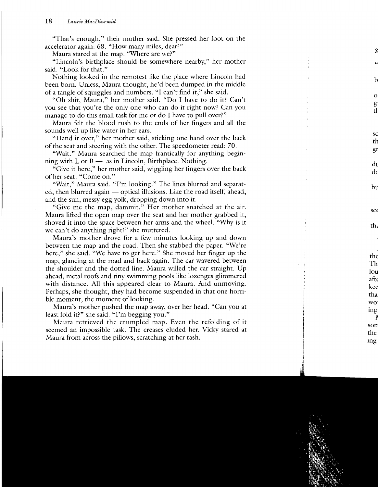"That's enough," their mother said. She pressed her foot on the accelerator again: 68. "How many miles, dear?"

Maura stared at the map. "Where are we?"

"Lincoln's birthplace should be somewhere nearby," her mother said. "Look for that."

Nothing looked in the remotest like the place where Lincoln had been born. Unless, Maura thought, he'd been dumped in the middle of a tangle of squiggles and numbers. "I can't find it," she said.

"Oh shit, Maura," her mother said. "Do I have to do it? Can't you see that you're the only one who can do it right now? Can you manage to do this small task for me or do I have to pull over?"

Maura felt the blood rush to the ends of her fingers and all the sounds well up like water in her ears.

"Hand it over," her mother said, sticking one hand over the back of the seat and steering with the other. The speedometer read: 70.

"Wait." Maura searched the map frantically for anything beginning with  $L$  or  $B -$  as in Lincoln, Birthplace. Nothing.

"Give it here," her mother said, wiggling her fingers over the back of her seat. "Come on."

"Wait," Maura said. "I'm looking." The lines blurred and separated, then blurred again - optical illusions. Like the road itself, ahead, and the sun, messy egg yolk, dropping down into it.

"Give me the map, dammit." Her mother snatched at the air. Maura lifted the open map over the seat and her mother grabbed it, shoved it into the space between her arms and the wheel. "Why is it we can't do anything right?" she muttered.

Maura's mother drove for a few minutes looking up and down between the map and the road. Then she stabbed the paper. "We're here," she said. "We have to get here." She moved her finger up the map, glancing at the road and back again. The car wavered between the shoulder and the dotted line. Maura willed the car straight. Up ahead, metal roofs and tiny swimming pools like lozenges glimmered with distance. All this appeared clear to Maura. And unmoving. Perhaps, she thought, they had become suspended in that one horrible moment, the moment of looking.

Maura's mother pushed the map away, over her head. "Can you at least fold it?" she said. "I'm begging you."

Maura retrieved the crumpled map. Even the refolding of it seemed an impossible task. The creases eluded her. Vicky stared at Maura from across the pillows, scratching at her rash.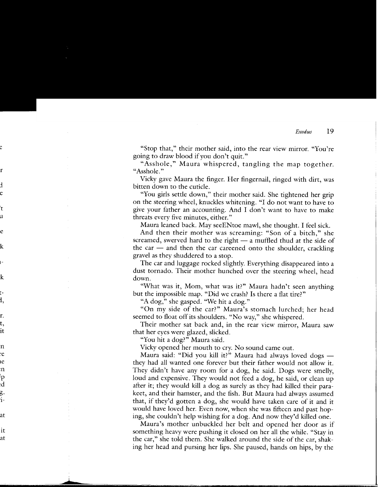"Stop that," their mother said, into the rear view mirror. "You're going to draw blood if you don't quit."

"Asshole," Maura whispered, tangling the map together. "Asshole."

Vicky gave Maura the finger. Her fingernail, ringed with dirt, was bitten down to the cuticle.

"You girls settle down," their mother said. She tightened her grip on the steering wheel, knuckles whitening. "I do not want to have to give your father an accounting. And I don't want to have to make threats every five minutes, either."

Maura leaned back. May seeENtoe mawl, she thought. I feel sick.

And then their mother was screaming: "Son of a bitch," she screamed, swerved hard to the right  $-$  a muffled thud at the side of the car  $-$  and then the car careened onto the shoulder, crackling gravel as they shuddered to a stop.

The car and luggage rocked slightly. Everything disappeared into a dust tornado. Their mother hunched over the steering wheel, head down.

"What was it, Mom, what was it?" Maura hadn't seen anything but the impossible map. "Did we crash? Is there a flat tire?"

"A dog," she gasped. "We hit a dog."

"On my side of the car?" Maura's stomach lurched; her head seemed to float off its shoulders. "No way," she whispered.

Their mother sat back and, in the rear view mirror, Maura saw that her eyes were glazed, slicked.

"You hit a dog?" Maura said.

Vicky opened her mouth to cry. No sound came out.

Maura said: "Did you kill it?" Maura had always loved dogs  $$ they had all wanted one forever but their father would not allow it. They didn't have any room for a dog, he said. Dogs were smelly, loud and expensive. They would not feed a dog, he said, or clean up after it; they would kill a dog as surely as they had killed their parakeet, and their hamster, and the fish. But Maura had always assumed that, if they'd gotten a dog, she would have taken care of it and it would have loved her. Even now, when she was fifteen and past hoping, she couldn't help wishing for a dog. And now they'd killed one.

Maura's mother unbuckled her belt and opened her door as if something heavy were pushing it closed on her all the while. "Stay in the car," she told them. She walked around the side of the car, shaking her head and pursing her lips. She paused, hands on hips, by the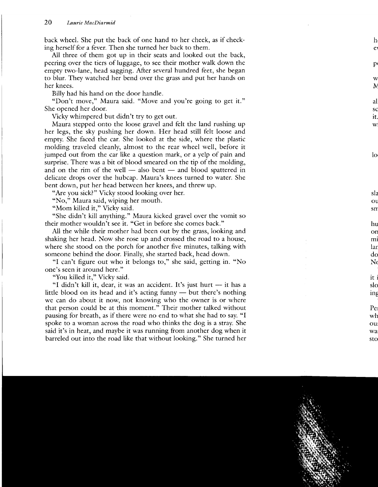back wheel. She put the back of one hand to her cheek, as if checking herself for a fever. Then she turned her back to them.

All three of them got up in their seats and looked out the back, peering over the tiers of luggage, to see their mother walk down the empty two-lane, head sagging. After several hundred feet, she began to blur. They watched her bend over the grass and put her hands on her knees.

Billy had his hand on the door handle.

"Don't move," Maura said. "Move and you're going to get it." She opened her door.

Vicky whimpered but didn't try to get out.

Maura stepped onto the loose gravel and felt the land rushing up her legs, the sky pushing her down. Her head still felt loose and empty. She faced the car. She looked at the side, where the plastic molding traveled cleanly, almost to the rear wheel well, before it jumped out from the car like a question mark, or a yelp of pain and surprise. There was a bit of blood smeared on the tip of the molding, and on the rim of the well  $-$  also bent  $-$  and blood spattered in delicate drops over the hubcap. Maura's knees turned to water. She bent down, put her head between her knees, and threw up.

"Are you sick?" Vicky stood looking over her.

"No," Maura said, wiping her mouth.

"Mom killed it," Vicky said.

"She didn't kill anything." Maura kicked gravel over the vomit so their mother wouldn't see it. "Get in before she comes back."

All the while their mother had been out by the grass, looking and shaking her head. Now she rose up and crossed the road to a house, where she stood on the porch for another five minutes, talking with someone behind the door. Finally, she started back, head down.

"I can't figure out who it belongs to," she said, getting in. "No one's seen it around here."

"You killed it," Vicky said.

"I didn't kill it, dear, it was an accident. It's just hurt  $-$  it has a little blood on its head and it's acting funny  $-$  but there's nothing we can do about it now, not knowing who the owner is or where that person could be at this moment." Their mother talked without pausing for breath, as if there were no end to what she had to say. "I spoke to a woman across the road who thinks the dog is a stray. She said it's in heat, and maybe it was running from another dog when it barreled out into the road like that without looking." She turned her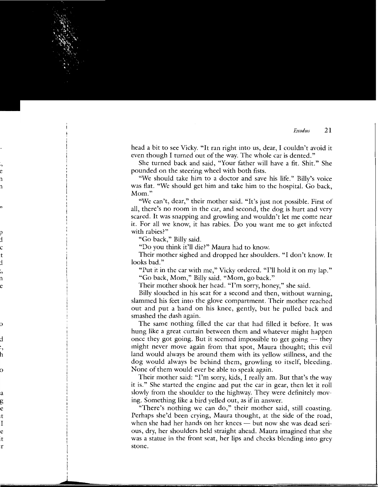head a bit to see Vicky. "It ran right into us, dear, I couldn't avoid it even though I turned out of the way. The whole car is dented."

She turned back and said, "Your father will have a fit. Shit." She pounded on the steering wheel with both fists.

"We should take him to a doctor and save his life." Billy's voice was flat. "We should get him and take him to the hospital. Go back, Mom."

"We can't, dear," their mother said. "It's just not possible. First of all, there's no room in the car, and second, the dog is hurt and very scared. It was snapping and growling and wouldn't let me come near it. For all we know, it has rabies. Do you want me to get infected with rabies?"

"Go back," Billy said.

"Do you think it'll die?" Maura had to know.

Their mother sighed and dropped her shoulders. "I don't know. It looks bad."

"Put it in the car with me," Vicky ordered. "I'll hold it on my lap." "Go back, Mom," Billy said. "Mom, go back."

Their mother shook her head. "I'm sorry, honey," she said.

Billy slouched in his seat for a second and then, without warning, slammed his feet into the glove compartment. Their mother reached out and put a hand on his knee, gently, but he pulled back and smashed the dash again.

The same nothing filled the car that had filled it before. It was hung like a great curtain between them and whatever might happen once they got going. But it seemed impossible to get going  $-$  they might never move again from that spot, Maura thought; this evil land would always be around them with its yellow stillness, and the dog would always be behind them, growling to itself, bleeding. None of them would ever be able to speak again.

Their mother said: "I'm sorry, kids, I really am. But that's the way it is." She started the engine and put the car in gear, then let it roll slowly from the shoulder to the highway. They were definitely moving. Something like a bird yelled out, as if in answer.

"There's nothing we can do," their mother said, still coasting. Perhaps she'd been crying, Maura thought, at the side of the road, when she had her hands on her knees  $-$  but now she was dead serious, dry, her shoulders held straight ahead. Maura imagined that she was a statue in the front seat, her lips and cheeks blending into grey stone.